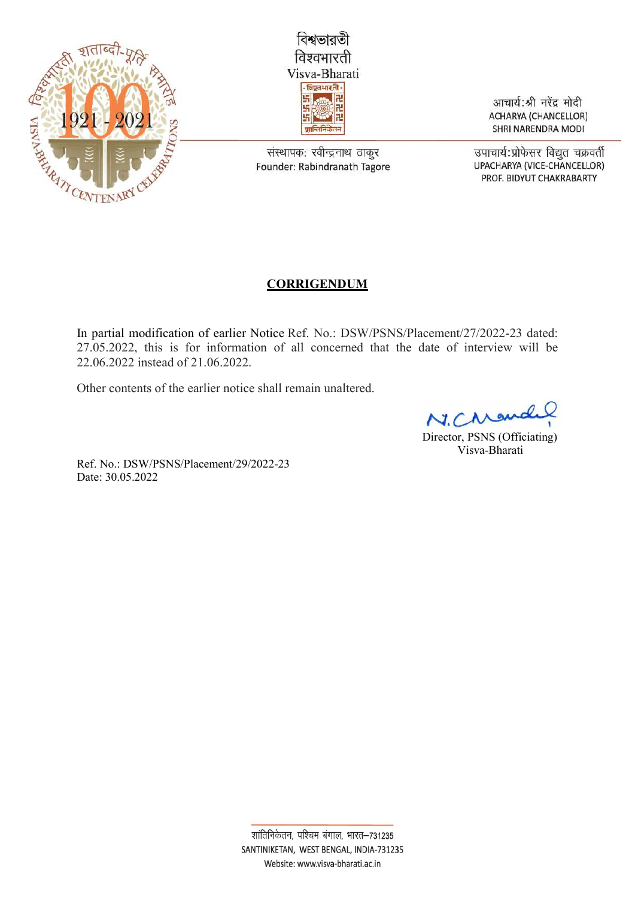



संस्थापक: रवीन्द्रनाथ ठाकुर Founder: Rabindranath Tagore

आचार्य:श्री नरेंद्र मोदी **ACHARYA (CHANCELLOR)** SHRI NARENDRA MODI

उपाचार्य:प्रोफेसर विद्युत चक्रवर्ती UPACHARYA (VICE-CHANCELLOR) PROF. BIDYUT CHAKRABARTY

## **CORRIGENDUM**

In partial modification of earlier Notice Ref. No.: DSW/PSNS/Placement/27/2022-23 dated: 27.05.2022, this is for information of all concerned that the date of interview will be 22.06.2022 instead of 21.06.2022.

Other contents of the earlier notice shall remain unaltered.

N.Cre

Director, PSNS (Officiating) Visva-Bharati

Ref. No.: DSW/PSNS/Placement/29/2022-23 Date: 30.05.2022

> शांतिनिकेतन, पश्चिम बंगाल, भारत-731235 SANTINIKETAN, WEST BENGAL, INDIA-731235 Website: www.visva-bharati.ac.in